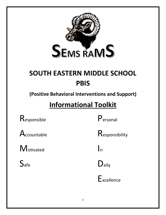

# **SOUTH EASTERN MIDDLE SCHOOL PBIS**

**(Positive Behavioral Interventions and Support)**

## **Informational Toolkit**

Responsible Personal

 $M_{\text{otivated}}$   $\vert_{n}$ 

 $\mathsf A$ ccountable  $\mathsf R$ esponsibility

 $S_{\text{afe}}$  D<sub>aily</sub>

**Excellence**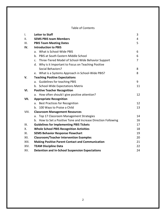#### Table of Contents

| $\mathsf{L}$ | <b>Letter to Staff</b>                                         | 3  |
|--------------|----------------------------------------------------------------|----|
| II.          | <b>SEMS PBIS team Members</b>                                  | 4  |
| III.         | <b>PBIS Team Meeting Dates</b>                                 | 5  |
| IV.          | <b>Introduction to PBIS</b>                                    |    |
|              | a. What is School-Wide PBIS                                    | 6  |
|              | b. PBIS at South Eastern Middle School                         | 6  |
|              | c. Three-Tiered Model of School-Wide Behavior Support          | 7  |
|              | d. Why is it Important to Focus on Teaching Positive           |    |
|              | Social Behaviors?                                              | 8  |
|              | e. What is a Systems Approach in School-Wide PBIS?             | 8  |
| V.           | <b>Teaching Positive Expectations</b>                          |    |
|              | <b>Guidelines for teaching PBIS</b><br>a.                      | 9  |
|              | b. School-Wide Expectations Matrix                             | 11 |
| VI.          | <b>Positive Teacher Recognition</b>                            |    |
|              | a. How often should I give positive attention?                 | 12 |
| VII.         | <b>Appropriate Recognition</b>                                 |    |
|              | a. Best Practices for Recognition                              | 12 |
|              | 100 Ways to Praise a Child<br>$b_{1}$                          | 13 |
| VIII.        | <b>Classroom Management Resources</b>                          |    |
|              | a. Top 17 Classroom Management Strategies                      | 14 |
|              | b. How to Set a Positive Tone and Increase Direction Following | 16 |
| IX.          | <b>Guidelines for Implementing PBIS Tickets</b>                | 17 |
| Х.           | <b>Whole School PBIS Recognition Activities</b>                | 18 |
| XI.          | <b>SEMS Behavior Response Flowchart</b>                        | 19 |
| XII.         | <b>Classroom/Teacher Intervention Examples</b>                 | 20 |
| XIII.        | <b>Making Positive Parent Contact and Communication</b>        | 21 |
| XIV.         | <b>TEAM Discipline Data</b>                                    | 22 |
| XV.          | <b>Detention and In-School Suspension Expectations</b>         | 24 |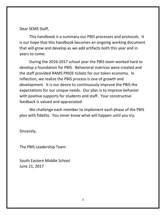Dear SEMS Staff,

This handbook is a summary our PBIS processes and protocols. It is our hope that this handbook becomes an ongoing working document that will grow and develop as we add artifacts both this year and in years to come.

During the 2016-2017 school year the PBIS team worked hard to develop a foundation for PBIS. Behavioral matrices were created and the staff provided RAMS PRIDE tickets for our token economy. In reflection, we realize the PBIS process is one of growth and development. It is our desire to continuously improve the PBIS the expectations for our unique needs. Our plan is to improve behavior with positive supports for students and staff. Your constructive feedback is valued and appreciated.

We challenge each member to implement each phase of the PBIS plan with fidelity. You never know what will happen until you try.

Sincerely,

The PBIS Leadership Team

South Eastern Middle School June 21, 2017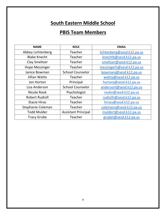## **South Eastern Middle School**

## **PBIS Team Members**

| <b>NAME</b>            | <b>ROLE</b>                | <b>EMAIL</b>               |
|------------------------|----------------------------|----------------------------|
| Abbey Lichtenberg      | Teacher                    | lichtenberg@sesd.k12.pa.us |
| <b>Blake Knecht</b>    | Teacher                    | knechtb@sesd.k12.pa.us     |
| <b>Clay Smeltzer</b>   | Teacher                    | smeltzer@sesd.k12.pa.us    |
| <b>Hope Messinger</b>  | Teacher                    | messingerh@sesd.k12.pa.us  |
| Janice Bowman          | <b>School Counselor</b>    | bowmanj@sesd.k12.pa.us     |
| Jillian Watto          | Teacher                    | wattoj@sesd.k12.pa.us      |
| Jon Horton             | Principal                  | hortonj@sesd.k12.pa.us     |
| Lisa Anderson          | <b>School Counselor</b>    | andersonl@sesd.k12.pa.us   |
| Nicole Rook            | Psychologist               | rookn@sesd.k12.pa.us       |
| <b>Robert Rudisill</b> | Teacher                    | rudisillr@sesd.k12.pa.us   |
| <b>Stacie Hiras</b>    | Teacher                    | hirass@sesd.k12.pa.us      |
| Stephanie Coleman      | Teacher                    | colemans@sesd.k12.pa.us    |
| <b>Todd Mulder</b>     | <b>Assistant Principal</b> | muldert@sesd.k12.pa.us     |
| <b>Tracy Grube</b>     | Teacher                    | grubet@sesd.k12.pa.us      |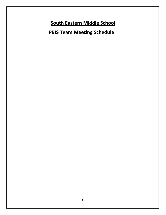**South Eastern Middle School**

**PBIS Team Meeting Schedule**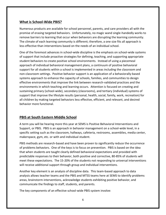#### **What is School-Wide PBIS?**

Numerous products are available for school personnel, parents, and care providers all with the promise of erasing targeted behaviors. Unfortunately, no magic wand single-handedly works to remove barriers to learning that occur when behaviors are disrupting the learning community. The climate of each learning community is different; therefore, a one size fits all approach is less effective than interventions based on the needs of an individual school.

One of the foremost advances in school-wide discipline is the emphasis on school-wide systems of support that include proactive strategies for defining, teaching, and supporting appropriate student behaviors to create positive school environments. Instead of using a piecemeal approach of individual behavioral management plans, a continuum of positive behavioral support for all students within a school is implemented in areas including the classroom and non-classroom settings. Positive behavior support is an application of a behaviorally-based systems approach to enhance the capacity of schools, families, and communities to design effective environments that improve the link between research-validated practices and the environments in which teaching and learning occurs. Attention is focused on creating and sustaining primary (school-wide), secondary (classrooms), and tertiary (individual) systems of support that improve the lifestyle results (personal, health, social, family, work, recreation) for all children by making targeted behaviors less effective, efficient, and relevant, and desired behavior more functional.

#### **PBIS at South Eastern Middle School**

A term you will be hearing more this year at SEMS is Positive Behavioral Interventions and Support, or PBIS. PBIS is an approach in behavior management on a school-wide level, in a specific setting such as the classroom, hallways, cafeteria, restrooms, assemblies, media center, makerspace, gym, etc. or with and individual student.

PBIS methods are research-based and have been proven to significantly reduce the occurrence of problems behaviors. One of the keys is to focus on prevention. PBIS is based on the idea that when students are taught clearly defined behavioral expectations and provided with predictable responses to their behavior, both positive and corrective, 80-85% of students will meet these expectations. The 15-20% of the students not responding to universal interventions will receive additional support through group and individual interventions.

Another key element is an analysis of discipline data. This team-based approach to data analysis allows teacher teams and the PBIS and MTSS teams here at SEMS to identify problems areas, brainstorm interventions, acknowledge students exhibiting positive behavior, and communicate the findings to staff, students, and parents.

The key components of an effective school-wide PBIS system involve: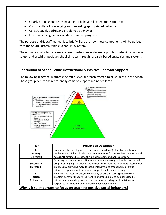- Clearly defining and teaching as set of behavioral expectations (matrix)
- Consistently acknowledging and rewarding appropriated behavior
- Constructively addressing problematic behavior
- Effectively using behavioral data to assess progress

The purpose of this staff manual is to briefly illustrate how these components will be utilized with the South Eastern Middle School PBIS system.

The ultimate goal is to increase academic performance, decrease problem behaviors, increase safety, and establish positive school climates through research-based strategies and systems.

#### **Continuum of School-Wide Instructional & Positive Behavior Support**

The following diagram illustrates the multi-level approach offered to all students in the school. These group depictions represent systems of support and not children.



| Tier            | <b>Prevention Description</b>                                                    |
|-----------------|----------------------------------------------------------------------------------|
|                 | Preventing the development of new cases (incidence) of problem behaviors by      |
| Primary         | implementing high quality learning environments for ALL students and staff and   |
| (Universal)     | across ALL settings (i.e., school-wide, classroom, and non-classroom)            |
| н.              | Reducing the number of existing cases (prevalence) of problem behaviors that     |
| Secondary       | are presenting high risk behaviors and/or not responsive to primary intervention |
| (Targeted)      | practices by providing more focused, intensive, and frequent small group-        |
|                 | oriented responses in situations where problem behavior is likely.               |
| Ш.              | Reducing the intensity and/or complexity of existing cases (prevalence) of       |
| <b>Tertiary</b> | problem behavior that are resistant to and/or unlikely to be addressed by        |
| (Intensive)     | primary and secondary prevention efforts by providing most individualized        |
|                 | responses to situations where problem behavior is likely.                        |

#### **Why is it so important to focus on teaching positive social behaviors?**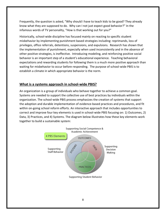Frequently, the question is asked, "Why should I have to teach kids to be good? They already know what they are supposed to do. Why can I not just expect good behavior?" In the infamous words of TV personality, "How is that working out for you?"

Historically, school-wide discipline has focused mainly on reacting to specific student misbehavior by implementing punishment based strategies including: reprimands, loss of privileges, office referrals, detentions, suspensions, and expulsions. Research has shown that the implementation of punishment, especially when used inconsistently and in the absence of other positive strategies, is ineffective. Introducing modeling, and reinforcing positive social behavior is an important step of a student's educational experience. Teaching behavioral expectations and rewarding students for following them is a much more positive approach than waiting for misbehavior to occur before responding. The purpose of school-wide PBIS is to establish a climate in which appropriate behavior is the norm.

#### **What is a systems approach in school-wide PBIS?**

An organization is a group of individuals who behave together to achieve a common goal. Systems are needed to support the collective use of best practices by individuals within the organization. The school-wide PBIS process emphasizes the creation of systems that support the adoption and durable implementation of evidence-based practices and procedures, and fit within on-going school reform efforts. An interactive approach that includes opportunities to correct and improve four key elements is used in school-wide PBIS focusing on: 1) Outcomes, 2) Data, 3) Practices, and 4) Systems. The diagram below illustrates how these key elements work together to build a sustainable system:

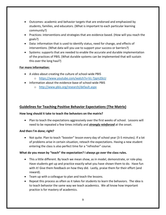- Outcomes: academic and behavior targets that are endorsed and emphasized by students, families, and educators. (What is important to each particular learning community?)
- Practices: interventions and strategies that are evidence based. (How will you reach the goals?)
- Data: information that is used to identify status, need for change, and effects of interventions. (What data will you use to support your success or barriers?)
- Systems: supports that are needed to enable the accurate and durable implementation of the practices of PBIS. (What durable systems can be implemented that will sustain this over the long haul?)

#### **For more information:**

- A video about creating the culture of school-wide PBIS
	- o <https://www.youtube.com/watch?v=Vc-Tjqm20cU>
- Information about the evidence-base of school-wide PBIS
	- o <http://www.pbis.org/research/default.aspx>

#### **Guidelines for Teaching Positive Behavior Expectations (The Matrix)**

#### **How long should it take to teach the behaviors on the matrix?**

• Plan to teach the expectations aggressively over the first weeks of school. Lessons will need to be repeated a few times initially and *strongly reinforced* at the onset.

#### **And then I'm done; right?**

 Not quite. Plan to teach "booster" lesson every day of school year (3-5 minutes). If a lot of problems arise in certain situation, reteach the expectations. Having a new student entering the class is also perfect time for a "refresher" course.

#### **What do you mean by "teach" the expectation? I always go over the class rules.**

- This a little different. By teach we mean show, as in model, demonstrate, or role-play. Have students get up and practice exactly what you have shown them to do. Have fun with it! Give them feedback on how they did. Lastly, praise them for their effort (and reward).
- Team up with a colleague to plan and teach the lessons.
- Repeat this process as often as it takes for students to learn the behaviors. The idea is to teach behavior the same way we teach academics. We all know how important practice is for mastery of academics.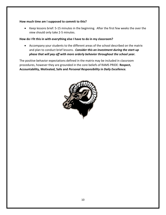#### **How much time am I supposed to commit to this?**

 Keep lessons brief: 5-15 minutes in the beginning. After the first few weeks the over the view should only take 2-5 minutes.

#### **How do I fit this in with everything else I have to do in my classroom?**

 Accompany your students to the different areas of the school described on the matrix and plan to conduct brief lessons. *Consider this an investment during the start-up phase that will pay off with more orderly behavior throughout the school year.*

The positive behavior expectations defined in the matrix may be included in classroom procedures, however they are grounded in the core beliefs of RAMS PRIDE: **Respect, Accountability, Motivated, Safe and** *Personal Responsibility in Daily Excellence.* 

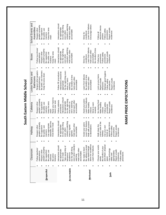| í |
|---|
| ï |
|   |
|   |
|   |
|   |
|   |
|   |
|   |
|   |
|   |
|   |
|   |
|   |
|   |
|   |
|   |
|   |
|   |
|   |
|   |
|   |
|   |
|   |
|   |
|   |

|             | Classroom                             | Hallway                                   | Cafeteria                          | Locker Rooms and                              | <b>Buses</b>                          | School Events and                     |
|-------------|---------------------------------------|-------------------------------------------|------------------------------------|-----------------------------------------------|---------------------------------------|---------------------------------------|
|             |                                       |                                           |                                    | <b>Bathrooms</b>                              |                                       | Assemblies                            |
|             | Follow teachers                       | Respect other                             | Respect other                      | Respect other people's                        | Follow bus drivers'                   | Respect other                         |
|             | expectations                          | people's property                         | people's property                  | property/privacy                              | expectations                          | people's property                     |
|             | Respect other                         | Be supportive                             | Be supportive                      | Be polite; use manners                        | Respect other                         | Be supportive                         |
|             | people's property<br>Be supportive    | Be polite; use<br>manners                 | Be polite; use<br>manners          | Keep the area clean                           | beople's property<br>Be supportive    | Be polite; use<br>manners             |
| Respectful  | Be polite; use                        | Use appropriate                           | Keep the area                      |                                               | Be polite; use                        | Keep the area                         |
|             | Be active<br>nanners                  | stairwells; take the<br>most direct route | Raise your hand to<br>clean        |                                               | Keep the area<br>nanners              | clean                                 |
|             | isteners                              |                                           | eave your seat                     |                                               | clean                                 |                                       |
|             | Interactions should<br>be appropriate | Interactions should<br>be appropriate     | Follow cafeteria<br>procedures     | Follow PE procedures<br>nteractions should be | Interactions should<br>be appropriate | Interactions should<br>be appropriate |
|             | Be on task                            | Do the right thing                        | nteractions should                 | appropriate                                   | Do the right thing                    | Do the right thing                    |
|             | ake ownership of                      | even when                                 | e appropriate                      | Do the right thing even                       | even when                             | even when                             |
| Accountable | academics<br>behaviors/               | nobody's watching<br>Have a signed        | Do the right thing<br>even when no | when no one's<br>watching                     | nobody's watching<br>Hold each other  | nobody's watching<br>Hold each other  |
|             | Do the right thing                    | agenda                                    | one's watching                     | Be mindful of time                            | accountable                           | accountable                           |
|             | even when nobody's                    | Hold each other                           | Hold each other                    | Hold each other                               |                                       |                                       |
|             | watching                              | accountable                               | accountable                        | accountable                                   |                                       |                                       |
|             | Hold each other<br>accountable        |                                           |                                    |                                               |                                       |                                       |
|             | Be ready to learn                     | Assist your peers                         | Assist your peers                  | earn from failures                            | Strive for                            | Strive for                            |
|             | Be willing to accept                  | Learn from failures                       | earn from failures                 | Be mindful of time                            | excellence                            | excellence                            |
| Motivated   | new ideas/change                      | Walk with purpose                         | Vlake healthy                      | Hold each other                               | Learn from failures                   | Learn from failures                   |
|             | Strive for excellence                 | to destinations                           | choices                            | accountable                                   | Hold each other                       | Encourage others                      |
|             | -earn from failures                   |                                           | Strive to earn<br>rewards          |                                               | Be mindful of time<br>accountable     |                                       |
|             | Choose your words                     | Walk down the                             | No sharing food                    | -ock up your items                            | Follow bus                            | Follow all                            |
|             | wisely                                | correct side of the                       | Vlake healthy                      | Report unsafe                                 | procedures                            | electronic device                     |
|             | Be mindful of your                    | vewller                                   | choices                            | pehaviors                                     | Follow safety                         | odicies                               |
|             | and others' physical                  | Use your own                              | Follow safety                      | Maintain good hygiene                         | procedures                            | Follow safety                         |
|             | space                                 | ocker at                                  | procedures                         | Follow safety                                 | Report unsafe                         | procedures                            |
| Safe        | Jse technology                        | appropriate times                         | Report unsafe                      | procedures                                    | incidences                            | Report unsafe                         |
|             | appropriately<br>safely and           | Follow safety<br>procedures               | ncidences                          | Report unsafe<br>ncidences                    |                                       | ncidences                             |
|             | Report unsafe                         | Report unsafe                             |                                    |                                               |                                       |                                       |
|             | ncidences                             | ncidences                                 |                                    |                                               |                                       |                                       |
|             | Follow safety                         |                                           |                                    |                                               |                                       |                                       |
|             | procedures                            |                                           |                                    |                                               |                                       |                                       |
|             |                                       |                                           | RAMS PRIDE EXPECTATIONS            |                                               |                                       |                                       |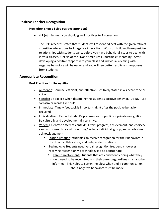#### **Positive Teacher Recognition**

#### **How often should I give positive attention?**

**4:1** (At minimum you should give 4 positives to 1 correction.

The PBIS research states that students will responded best with the given ratio of 4 positive interactions to 1 negative interaction. Work on building those positive relationships with students early, before you have behavioral issues to deal with in your classes. Get rid of the "Don't smile until Christmas!" mentality. After developing a positive rapport with your class and individuals dealing with negative behaviors will be easier and you will see better results and responses from students.

#### **Appropriate Recognition**

#### **Best Practices for Recognition**

- Authentic: Genuine, efficient, and effective- Positively stated in a sincere tone or voice
- Specific: Be explicit when describing the student's positive behavior. Do NOT use sarcasm or words like "but"
- Immediate: Timely feedback is important; right after the positive behavior occurred.
- Individualized: Respect student's preferences for public vs. private recognition. Be culturally and developmentally sensitive.
- Varied: Celebrate different contexts: Effort, progress, achievement, and choices/ vary words used to avoid monotony/ include individual, group, and whole class acknowledgement.
	- Station Rotation: students can receive recognition for their behaviors in the direct, collaborative, and independent stations.
	- Technology**:** Students need verbal recognition frequently however receiving recognition via technology is also appropriate.
		- **Parent Involvement:** Students that are consistently doing what they should need to be recognized and their parents/guardians must also be informed. This helps to soften the blow when and if communication about negative behaviors must be made.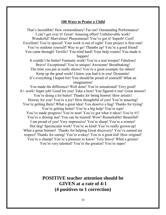#### **100 Ways to Praise a Child**

That's incredible! How extraordinary! Far out! Outstanding Performance! I can't get over it! Great! Amazing effort! Unbelievable work! Wonderful! Marvelous! Phenomenal! You've got it! Superb! Cool! Excellent! You're special! Your work is out of sight! Your project is first-rate! You've outdone yourself! Way to go! Thumbs up! You're a good friend! You came through! Terrific! You tried hard! Your help counts! You made it happen!

It couldn't be better! Fantastic work! You're a real trooper! Fabulous! Bravo! Exceptional! You're unique! Awesome! Breathtaking! The time you put in really shows! You're a great example for others! Keep up the good work! I knew you had it in you! Dynamite! It's everything I hoped for! You should be proud of yourself! What an imagination!

You made the difference! Well done! You're sensational! Very good! A+ work! Super job! Good for you! Take a bow! You figured it out! Great answer! You're doing a lot better! Thanks for being honest! How artistic! Hooray for you! You're a joy! How thoughtful of you! You're amazing! You're getting there! What a great idea! You deserve a hug! Thanks for trying! You're getting better! You're a big help! You're tops! You've made progress! You're neat! You've got what it takes! You're #1! You're a shining star! You can be trusted! Wow! Remarkable! Beautiful! I am proud of you! Very impressive! You're sharp! You're a winner! Hot dog! Spectacular work! You're so kind! You've really grown-up! What a great listener! Thanks for helping Great discovery! You've earned my respect! Thanks for caring! You're a-okay! You're a great kid! How original! You're a champ! You're a pleasure to know! Very brave! What a genius! You're very talented! You're the greatest! You're super!

> **POSITIVE teacher attention should be GIVEN at a rate of 4:1 (4 positives to 1 correction)**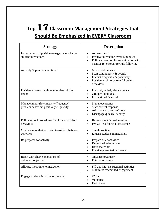## **Top** 17**Classroom Management Strategies that Should Be Emphasized in EVERY Classroom**

| <b>Strategy</b>                                                                  | <b>Description</b>                                                                                                                                           |
|----------------------------------------------------------------------------------|--------------------------------------------------------------------------------------------------------------------------------------------------------------|
| Increase ratio of positive to negative teacher to<br>student interactions        | At least 4 to 1<br>$\bullet$<br>Positive interaction every 5 minutes<br>Follow correction for rule violation with<br>positive re-enforcer for rule following |
| Actively Supervise at all times                                                  | Move continuously<br>$\bullet$<br>Scan continuously & overtly<br>Interact frequently & positively<br>Positively reinforce rule following<br>behaviors        |
| Positively interact with most students during<br>lesson                          | Physical, verbal, visual contact<br>$\bullet$<br>Group v. individual<br>Instructional & social                                                               |
| Manage minor (low intensity/frequency)<br>problem behaviors positively & quickly | Signal occurrence<br>State correct response<br>Ask student to restate/show<br>Disengage quickly & early                                                      |
| Follow school procedures for chronic problem<br>behaviors                        | Be consistent & business-like<br>Pre-Correct for next occurrence                                                                                             |
| Conduct smooth & efficient transitions between<br>activities                     | Taught routine<br>$\bullet$<br>Engage students immediately<br>$\bullet$                                                                                      |
| Be prepared for activity                                                         | Prepare filler activities<br>Know desired outcome<br>Have materials<br>Practice presentation fluency                                                         |
| Begin with clear explanations of<br>outcomes/objective                           | Advance organizer<br>Point of reference                                                                                                                      |
| Allocate most time to instruction                                                | Fill day with instructional activities<br>Maximize teacher led engagement                                                                                    |
| Engage students in active responding                                             | Write<br>Verbalize<br>Participate                                                                                                                            |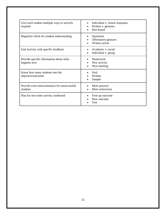| Give each student multiple ways to actively<br>respond     | Individual v. choral responses<br>Written v. gestures<br>Peer-based |
|------------------------------------------------------------|---------------------------------------------------------------------|
| Regularly check for student understanding                  | Questions<br>Affirmative gestures<br>Written action                 |
| End Activity with specific feedback                        | Academic v. social<br>Individual v. group                           |
| Provide specific information about what<br>happens next    | Homework<br>New activity<br>Next meeting                            |
| Know how many students met the<br>objective/outcomes       | Oral<br>Written<br>Sample                                           |
| Provide extra time/assistance for unsuccessful<br>students | More practice<br>More instruction                                   |
| Plan for next time activity conducted                      | Firm up outcome<br>New outcome<br>Test                              |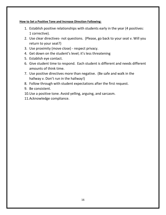#### **How to Set a Positive Tone and Increase Direction Following:**

- 1. Establish positive relationships with students early in the year (4 positives: 1 corrective).
- 2. Use clear directives- not questions. (Please, go back to your seat v. Will you return to your seat?)
- 3. Use proximity (move close) respect privacy.
- 4. Get down on the student's level; it's less threatening
- 5. Establish eye contact.
- 6. Give student time to respond. Each student is different and needs different amounts of think time.
- 7. Use positive directives more than negative. (Be safe and walk in the hallway v. Don't run in the hallway!)
- 8. Follow through with student expectations after the first request.
- 9. Be consistent.
- 10.Use a positive tone. Avoid yelling, arguing, and sarcasm.
- 11.Acknowledge compliance.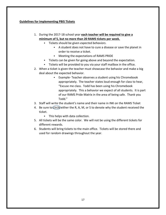#### **Guidelines for Implementing PBIS Tickets**

- 1. During the 2017-18 school year **each teacher will be required to give a minimum of 5, but no more than 20 RAMS tickets per week.**
	- Tickets should be given *expected behaviors*.
		- A student does not have to cure a disease or save the planet in order to receive a ticket.
		- Meeting the expectations of RAMS PRIDE
	- Tickets can be given for going above and beyond the expectation.
	- Tickets will be provided to you via your staff mailbox in the office.
- 2. When a ticket is given the teacher must showcase the behavior and make a big deal about the expected behavior.
	- Example- Teacher observes a student using his Chromebook appropriately. The teacher states loud enough for class to hear, "Excuse me class. Todd has been using his Chromebook appropriately. This a behavior we expect of all students. It is part of our RAMS Pride Matrix in the area of being safe. Thank you Todd."
- 3. Staff will write the student's name and their name in INK on the RAMS Ticket
- 4. Be sure to circle either the R, A, M, or S to denote why the student received the ticket.
	- This helps with data collection.
- 5. All tickets will be the same color. We will not be using the different tickets for different rewards.
- 6. Students will bring tickets to the main office. Tickets will be stored there and used for random drawings throughout the year.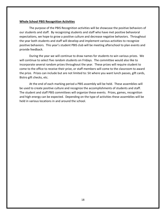#### **Whole School PBIS Recognition Activities**

The purpose of the PBIS Recognition activities will be showcase the positive behaviors of our students and staff. By recognizing students and staff who have met positive behavioral expectations, we hope to grow a positive culture and decrease negative behaviors. Throughout the year both students and staff will develop and implement various activities to recognize positive behaviors. This year's student PBIS club will be meeting afterschool to plan events and provide feedback.

During the year we will continue to draw names for students to win various prizes. We will continue to select five random students on Fridays. The committee would also like to incorporate several random prizes throughout the year. These prizes will require student to come to the office to receive their prize, or staff members will come to the classroom to award the prize. Prizes can include but are not limited to: Sit where you want lunch passes, gift cards, Bistro gift checks, etc.

At the end of each marking period a PBIS assembly will be held. These assemblies will be used to create positive culture and recognize the accomplishments of students and staff. The student and staff PBIS committees will organize these events. Prizes, games, recognition and high energy can be expected. Depending on the type of activities these assemblies will be held in various locations in and around the school.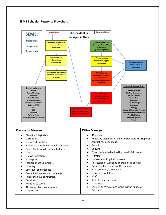#### **SEMS Behavior Response Flowchart**

Unprepared



#### **Classroom Managed Classroom Managed** • Cheating/plagiarism **•** Disruption • Dress Code violation • Failure to comply with simple requests Food/Drink outside designated areas • Gum **•** Hallway violation • Horseplay • Inappropriate Comments • Littering Low level of disrespect • Profanity/Inappropriate language Public Displays of Affection • Put downs Refusing to Work Throwing objects of any kind • 10 points Repeated violations of minor infractions **AFTER** parent contact has been made. Assault Bullying Direct defiant behavior/High level of disrespect • Fighting Harassment: Physical or sexual Possession of weapons or prohibited objects Profanity directed at another person Racial/Gender/Sexual Slurs • Substance Violations • Theft • Threats to any person Vandalism

 Level III or IV violations in the district "Code of Conduct"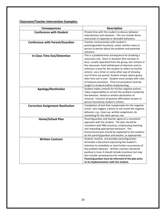#### **Classroom/Teacher Intervention Examples:**

| <b>Consequences</b>                      | <b>Description</b>                                         |
|------------------------------------------|------------------------------------------------------------|
| <b>Conference with Student</b>           | Private time with the student to discuss behavior          |
|                                          | interventions and solutions. This can include direct       |
|                                          | instruction in expected or desirable behaviors.            |
| <b>Conference with Parent/Guardian</b>   | Teacher communicates with student's                        |
|                                          | parent/guardian by phone, email, written notes or          |
|                                          | person to person about the problem and potential           |
|                                          | solutions.                                                 |
| <b>In-Class Time Out/Detention</b>       | This is a predetermine consequence for breaking a          |
|                                          | classroom rule. Short in duration (five minutes or         |
|                                          | less)- usually separated from the group, but remains in    |
|                                          | the classroom- brief withdrawal of attention and re-       |
|                                          | enforcers a time for the student to reflect on his/her     |
|                                          | actions- use a timer or some other way of showing          |
|                                          | end of time out period. Student simply rejoins group       |
|                                          | after time out is over. Student must comply with rules     |
|                                          | of timeout procedure. Time out procedure must be           |
|                                          | taught to students before implementing.                    |
| Apology/Restitution                      | Student makes amends for his/her negative actions.         |
|                                          | Takes responsibility to correct the problem created by     |
|                                          | the behavior. Verbal or written declaration of             |
|                                          | remorse. Inclusive of positive affirmation to peer or      |
|                                          | person harmed by student's actions.                        |
| <b>Corrective Assignment Restitution</b> | Completion of task that compensates for the negative       |
|                                          | action- also triggers a desire to not revisit the negative |
|                                          | behavior, e.g., clean-up, written assignment, do           |
|                                          | something for the other person, etc.                       |
| <b>Home/School Plan</b>                  | Parent/guardian and teacher agree on a consistent          |
|                                          | approach with the student. The plan should be              |
|                                          | consistent with PBIS practices, emphasizing teaching       |
|                                          | and rewarding appropriate behaviors. The                   |
|                                          | home/school plan should be explained to the students       |
|                                          | by the parent/guardian and teacher, as appropriate.        |
| <b>Written Contract</b>                  | Student, teacher, and possibly parent/guardian             |
|                                          | formulate a document expressing the student's              |
|                                          | intention to remediate or stop further occurrences of      |
|                                          | the problem behavior. Written contract should be           |
|                                          | positive in tone; it should include incentives but may     |
|                                          | also include consequences for misbehavior.                 |
|                                          | Parent/guardian must be informed of the plan prior         |
|                                          | to its implementation with the student.                    |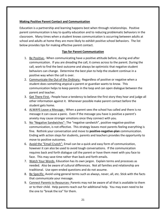#### **Making Positive Parent Contact and Communication**

Education is a partnership and learning happens best when through relationships. Positive parent communication is key to quality education and to reducing problematic behaviors in the classroom. Many times when a student knows communication is occurring between adults at school and adults at home they are more likely to exhibit positive school behaviors. The list below provides tips for making effective parent contact.

#### **Tips for Parent Communication**

- 1. Be Positive.- When communicating have a positive attitude before, during and after communication. If you are dreading the call, it comes across to the parent. During the call, work to find the best outcome and always be optimistic that negative student behaviors can change. Determine the best plan to help the student continue in a positive way when the call is over.
- 2. Communicate the Out of the Ordinary.- Regardless of positive or negative when a student does something atypical a parent or guardian wants to know. This communication helps to keep parents in the loop and can open dialogue between the parent and teacher.
- 3. Get There First.- People have a tendency to believe the first story they hear and judge all other information against it. Whenever possible make parent contact before the student gets home.
- 4. ALWAYS Leave a Message.- When a parent sees the school has called and there is no message it can cause a panic. Even if the message you have is positive a parent's anxiety may cause stronger emotions once they connect with you.
- 5. No "Negative Sandwiches"- The "negative sandwich", positive-negative-positive communication, is not effective. This strategy leaves most parents feeling everything is fine. Rethink your conversation and move to **positive-negative-plan** communication. Ending with action steps for students, parents and teachers provides the opportunity to move to positive outcomes.
- 6. Avoid the "Email Crutch"- Email can be a quick and easy form of communication, however it can also be used to avoid tough conversations. If the communication requires back and forth dialogue call the parent or have them meet with you face to face. This may save time rather than back and forth emails.
- 7. Watch Your Words- Education has its own jargon. Explain terms and processes as needed. Also be aware of cultural differences. Not all families and relationship are traditional. Use open-ended questions and do not assume.
- 8. Be Specific- Avoid using general terms such as always, never, all, etc. Stick with the facts that communicate your message.
- 9. Connect Parents to Resources- Parents may not be aware of all that is available to them or to their child. Help parents reach out for additional help. You may even need to be the one to "break the ice" for them.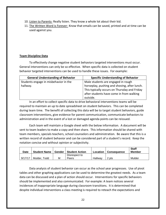- 10. Listen to Parents- Really listen. They know a whole lot about their kid.
- 11. The Written Word is Forever- Know that emails can be saved, printed and at time can be used against you.

#### **Team Discipline Data**

To effectively change negative student behaviors targeted interventions must occur. General interventions can only be so effective. When specific data is collected on student behavior targeted interventions can be used to handle these issues. For example:

| <b>General Understanding of Behavior</b> | <b>Specific Understanding of Behavior</b>    |
|------------------------------------------|----------------------------------------------|
| Students engage in misbehavior in the    | Male students are engaged in rough           |
| hallway.                                 | horseplay, pushing and shoving, after lunch. |
|                                          | This typically occurs on Thursday and Friday |
|                                          | after students have come in from walking     |
|                                          | outside.                                     |

In an effort to collect specific data to drive behavioral interventions teams will be required to maintain an up to date spreadsheet on student behaviors. This can be completed during team time. The benefit of collecting this data will be to target student behaviors, guide classroom interventions, give evidence for parent communication, communicate behaviors to administration and in the event of a lost or damaged agenda points can be reissued.

Each team will maintain a Google sheet with the below information. A document will be sent to team leaders to make a copy and then share. This information should be shared with team members, specials teachers, school counselors and administration. Be aware that this is a written record of student behavior and can be considered part of a student's record. Keep the notation concise and without opinion or subjectivity.

| <b>Date</b> | <b>Student Name</b> | Gender | <b>Student Action</b> | Location | Consequence | <b>Staff</b><br><b>Member</b> |
|-------------|---------------------|--------|-----------------------|----------|-------------|-------------------------------|
|             |                     |        | Disrespect to         |          |             |                               |
| 9/17/17     | Mulder, Todd        | М      | Peers                 | Hallway  | 2 pts       | Mulder                        |

Data analysis of student behavior can occur as the school year progresses. Use of pivot tables and other graphing applications can be used to determine the greatest needs. As a team data can be discussed and a plan of action should occur. Interventions for specific behaviors should be implemented and also communicated. For example: A team notices several incidences of inappropriate language during classroom transitions. It is determined that despite individual interventions a class meeting is required to reteach the expectations and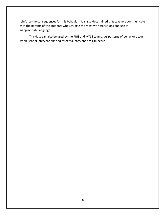reinforce the consequences for this behavior. It is also determined that teachers communicate with the parents of the students who struggle the most with transitions and use of inappropriate language.

This data can also be used by the PBIS and MTSS teams. As patterns of behavior occur whole school interventions and targeted interventions can occur.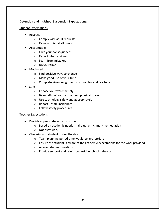#### **Detention and In-School Suspension Expectations:**

#### Student Expectations:

- Respect
	- o Comply with adult requests
	- o Remain quiet at all times
- Accountable
	- o Own your consequences
	- o Report when assigned
	- o Learn from mistakes
	- o Do your time
- Motivated
	- o Find positive ways to change
	- o Make good use of your time
	- o Complete given assignments by monitor and teachers
- Safe
	- o Choose your words wisely
	- o Be mindful of your and others' physical space
	- o Use technology safely and appropriately
	- o Report unsafe incidences
	- o Follow safety procedures

#### Teacher Expectations:

- Provide appropriate work for student.
	- o Based on academic needs- make-up, enrichment, remediation
	- o Not busy work
- Check-in with student during the day.
	- o Team planning period time would be appropriate
	- o Ensure the student is aware of the academic expectations for the work provided
	- o Answer student questions.
	- o Provide support and reinforce positive school behaviors